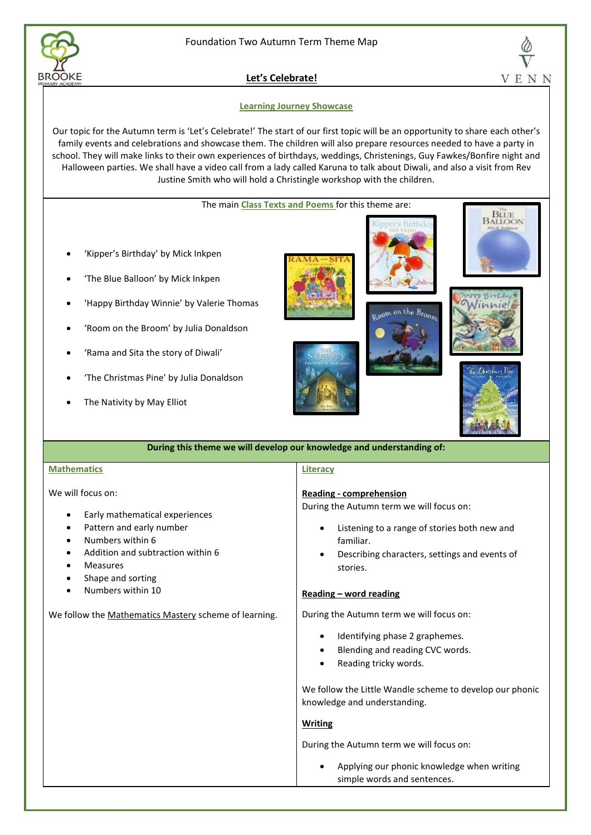



**Let's Celebrate!**

## **Learning Journey Showcase**

Our topic for the Autumn term is 'Let's Celebrate!' The start of our first topic will be an opportunity to share each other's family events and celebrations and showcase them. The children will also prepare resources needed to have a party in school. They will make links to their own experiences of birthdays, weddings, Christenings, Guy Fawkes/Bonfire night and Halloween parties. We shall have a video call from a lady called Karuna to talk about Diwali, and also a visit from Rev Justine Smith who will hold a Christingle workshop with the children.

## The main **Class Texts and Poems** for this theme are:

- 'Kipper's Birthday' by Mick Inkpen
- 'The Blue Balloon' by Mick Inkpen
- 'Happy Birthday Winnie' by Valerie Thomas
- 'Room on the Broom' by Julia Donaldson
- 'Rama and Sita the story of Diwali'
- 'The Christmas Pine' by Julia Donaldson
- The Nativity by May Elliot











| During this theme we will develop our knowledge and understanding of: |  |
|-----------------------------------------------------------------------|--|
|                                                                       |  |

### **Mathematics**

We will focus on:

- Early mathematical experiences
- Pattern and early number
- Numbers within 6
- Addition and subtraction within 6
- **Measures**
- Shape and sorting
- Numbers within 10

We follow the Mathematics Mastery scheme of learning.

# **Literacy**

### **Reading - comprehension**

During the Autumn term we will focus on:

- Listening to a range of stories both new and familiar.
- Describing characters, settings and events of stories.

## **Reading – word reading**

During the Autumn term we will focus on:

- Identifying phase 2 graphemes.
- Blending and reading CVC words.
- Reading tricky words.

We follow the Little Wandle scheme to develop our phonic knowledge and understanding.

## **Writing**

During the Autumn term we will focus on:

• Applying our phonic knowledge when writing simple words and sentences.

V E N N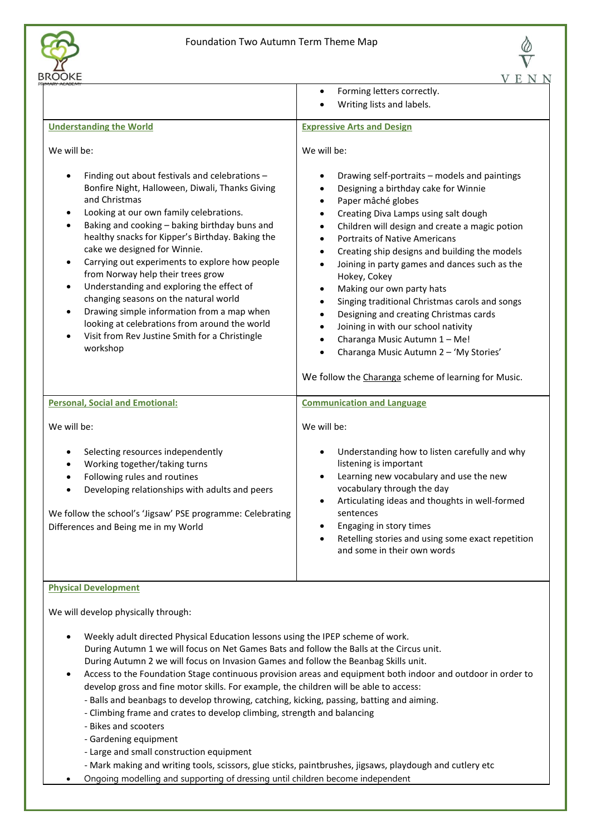

|                                                                                                                                                                                                                                                                                                                                                                                                                                                                                                                                                                                                                                                                                                                                                                                      | V<br>E N N                                                                                                                                                                                                                                                                                                                                                                                                                                                                                                                                                                                                                                                               |
|--------------------------------------------------------------------------------------------------------------------------------------------------------------------------------------------------------------------------------------------------------------------------------------------------------------------------------------------------------------------------------------------------------------------------------------------------------------------------------------------------------------------------------------------------------------------------------------------------------------------------------------------------------------------------------------------------------------------------------------------------------------------------------------|--------------------------------------------------------------------------------------------------------------------------------------------------------------------------------------------------------------------------------------------------------------------------------------------------------------------------------------------------------------------------------------------------------------------------------------------------------------------------------------------------------------------------------------------------------------------------------------------------------------------------------------------------------------------------|
|                                                                                                                                                                                                                                                                                                                                                                                                                                                                                                                                                                                                                                                                                                                                                                                      | Forming letters correctly.<br>٠<br>Writing lists and labels.                                                                                                                                                                                                                                                                                                                                                                                                                                                                                                                                                                                                             |
| <b>Understanding the World</b>                                                                                                                                                                                                                                                                                                                                                                                                                                                                                                                                                                                                                                                                                                                                                       | <b>Expressive Arts and Design</b>                                                                                                                                                                                                                                                                                                                                                                                                                                                                                                                                                                                                                                        |
| We will be:<br>Finding out about festivals and celebrations -<br>Bonfire Night, Halloween, Diwali, Thanks Giving<br>and Christmas<br>Looking at our own family celebrations.<br>٠<br>Baking and cooking - baking birthday buns and<br>$\bullet$<br>healthy snacks for Kipper's Birthday. Baking the<br>cake we designed for Winnie.<br>Carrying out experiments to explore how people<br>from Norway help their trees grow<br>Understanding and exploring the effect of<br>$\bullet$<br>changing seasons on the natural world<br>Drawing simple information from a map when<br>$\bullet$<br>looking at celebrations from around the world<br>Visit from Rev Justine Smith for a Christingle                                                                                          | We will be:<br>Drawing self-portraits - models and paintings<br>Designing a birthday cake for Winnie<br>$\bullet$<br>Paper mâché globes<br>$\bullet$<br>Creating Diva Lamps using salt dough<br>$\bullet$<br>Children will design and create a magic potion<br>$\bullet$<br><b>Portraits of Native Americans</b><br>$\bullet$<br>Creating ship designs and building the models<br>٠<br>Joining in party games and dances such as the<br>$\bullet$<br>Hokey, Cokey<br>Making our own party hats<br>$\bullet$<br>Singing traditional Christmas carols and songs<br>$\bullet$<br>Designing and creating Christmas cards<br>$\bullet$<br>Joining in with our school nativity |
| workshop                                                                                                                                                                                                                                                                                                                                                                                                                                                                                                                                                                                                                                                                                                                                                                             | Charanga Music Autumn 1 - Me!<br>Charanga Music Autumn 2 - 'My Stories'<br>We follow the Charanga scheme of learning for Music.                                                                                                                                                                                                                                                                                                                                                                                                                                                                                                                                          |
| <b>Personal, Social and Emotional:</b>                                                                                                                                                                                                                                                                                                                                                                                                                                                                                                                                                                                                                                                                                                                                               | <b>Communication and Language</b>                                                                                                                                                                                                                                                                                                                                                                                                                                                                                                                                                                                                                                        |
| We will be:                                                                                                                                                                                                                                                                                                                                                                                                                                                                                                                                                                                                                                                                                                                                                                          | We will be:                                                                                                                                                                                                                                                                                                                                                                                                                                                                                                                                                                                                                                                              |
| Selecting resources independently<br>Working together/taking turns<br>Following rules and routines<br>Developing relationships with adults and peers<br>We follow the school's 'Jigsaw' PSE programme: Celebrating<br>Differences and Being me in my World                                                                                                                                                                                                                                                                                                                                                                                                                                                                                                                           | Understanding how to listen carefully and why<br>listening is important<br>Learning new vocabulary and use the new<br>vocabulary through the day<br>Articulating ideas and thoughts in well-formed<br>sentences<br>Engaging in story times<br>Retelling stories and using some exact repetition<br>and some in their own words                                                                                                                                                                                                                                                                                                                                           |
| <b>Physical Development</b>                                                                                                                                                                                                                                                                                                                                                                                                                                                                                                                                                                                                                                                                                                                                                          |                                                                                                                                                                                                                                                                                                                                                                                                                                                                                                                                                                                                                                                                          |
| We will develop physically through:<br>Weekly adult directed Physical Education lessons using the IPEP scheme of work.<br>During Autumn 1 we will focus on Net Games Bats and follow the Balls at the Circus unit.<br>During Autumn 2 we will focus on Invasion Games and follow the Beanbag Skills unit.<br>develop gross and fine motor skills. For example, the children will be able to access:<br>- Balls and beanbags to develop throwing, catching, kicking, passing, batting and aiming.<br>- Climbing frame and crates to develop climbing, strength and balancing<br>- Bikes and scooters<br>- Gardening equipment<br>- Large and small construction equipment<br>- Mark making and writing tools, scissors, glue sticks, paintbrushes, jigsaws, playdough and cutlery etc | Access to the Foundation Stage continuous provision areas and equipment both indoor and outdoor in order to                                                                                                                                                                                                                                                                                                                                                                                                                                                                                                                                                              |

• Ongoing modelling and supporting of dressing until children become independent